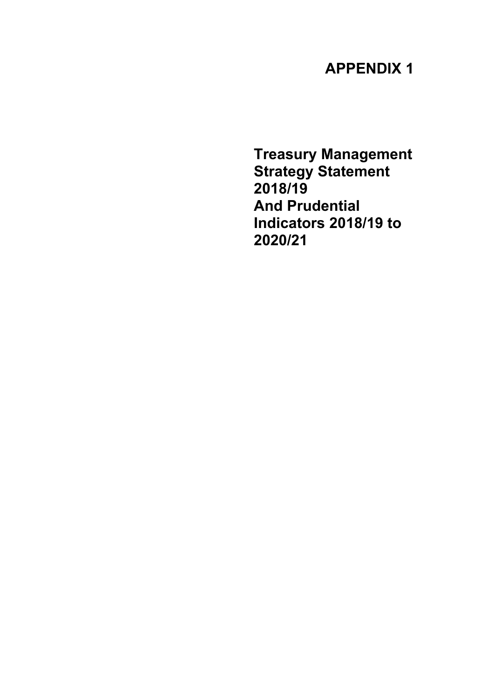# **APPENDIX 1**

**Treasury Management Strategy Statement 2018/19 And Prudential Indicators 2018/19 to 2020/21**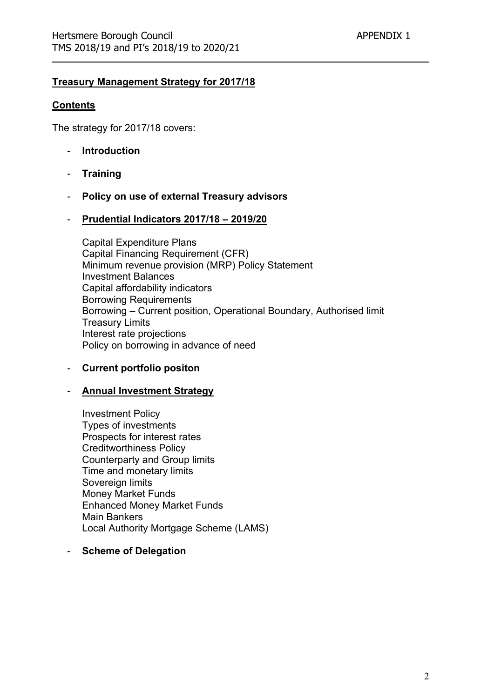### **Treasury Management Strategy for 2017/18**

#### **Contents**

The strategy for 2017/18 covers:

- **Introduction**
- **Training**
- **Policy on use of external Treasury advisors**
- **Prudential Indicators 2017/18 – 2019/20**

Capital Expenditure Plans Capital Financing Requirement (CFR) Minimum revenue provision (MRP) Policy Statement Investment Balances Capital affordability indicators Borrowing Requirements Borrowing – Current position, Operational Boundary, Authorised limit Treasury Limits Interest rate projections Policy on borrowing in advance of need

- **Current portfolio positon**

#### - **Annual Investment Strategy**

Investment Policy Types of investments Prospects for interest rates Creditworthiness Policy Counterparty and Group limits Time and monetary limits Sovereign limits Money Market Funds Enhanced Money Market Funds Main Bankers Local Authority Mortgage Scheme (LAMS)

#### - **Scheme of Delegation**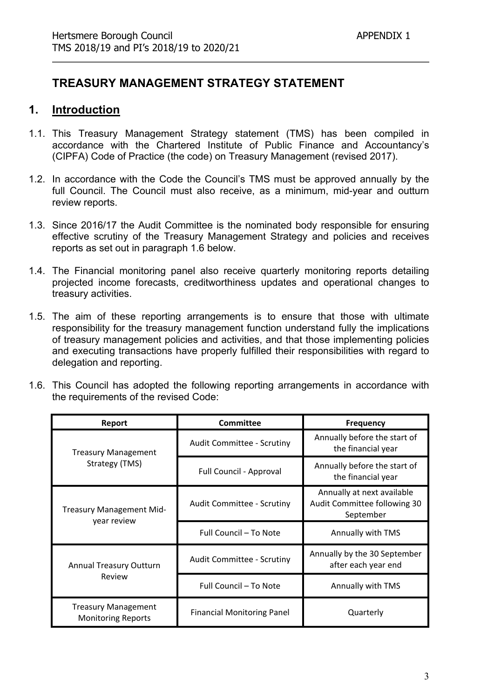# **TREASURY MANAGEMENT STRATEGY STATEMENT**

# **1. Introduction**

- 1.1. This Treasury Management Strategy statement (TMS) has been compiled in accordance with the Chartered Institute of Public Finance and Accountancy's (CIPFA) Code of Practice (the code) on Treasury Management (revised 2017).
- 1.2. In accordance with the Code the Council's TMS must be approved annually by the full Council. The Council must also receive, as a minimum, mid-year and outturn review reports.
- 1.3. Since 2016/17 the Audit Committee is the nominated body responsible for ensuring effective scrutiny of the Treasury Management Strategy and policies and receives reports as set out in paragraph 1.6 below.
- 1.4. The Financial monitoring panel also receive quarterly monitoring reports detailing projected income forecasts, creditworthiness updates and operational changes to treasury activities.
- 1.5. The aim of these reporting arrangements is to ensure that those with ultimate responsibility for the treasury management function understand fully the implications of treasury management policies and activities, and that those implementing policies and executing transactions have properly fulfilled their responsibilities with regard to delegation and reporting.
- 1.6. This Council has adopted the following reporting arrangements in accordance with the requirements of the revised Code:

| Report                                                  | <b>Committee</b>                  | <b>Frequency</b>                                                        |
|---------------------------------------------------------|-----------------------------------|-------------------------------------------------------------------------|
| <b>Treasury Management</b>                              | <b>Audit Committee - Scrutiny</b> | Annually before the start of<br>the financial year                      |
| Strategy (TMS)                                          | Full Council - Approval           | Annually before the start of<br>the financial year                      |
| <b>Treasury Management Mid-</b>                         | <b>Audit Committee - Scrutiny</b> | Annually at next available<br>Audit Committee following 30<br>September |
| year review                                             | Full Council - To Note            | Annually with TMS                                                       |
| <b>Annual Treasury Outturn</b>                          | Audit Committee - Scrutiny        | Annually by the 30 September<br>after each year end                     |
| Review                                                  | Full Council - To Note            | Annually with TMS                                                       |
| <b>Treasury Management</b><br><b>Monitoring Reports</b> | <b>Financial Monitoring Panel</b> | Quarterly                                                               |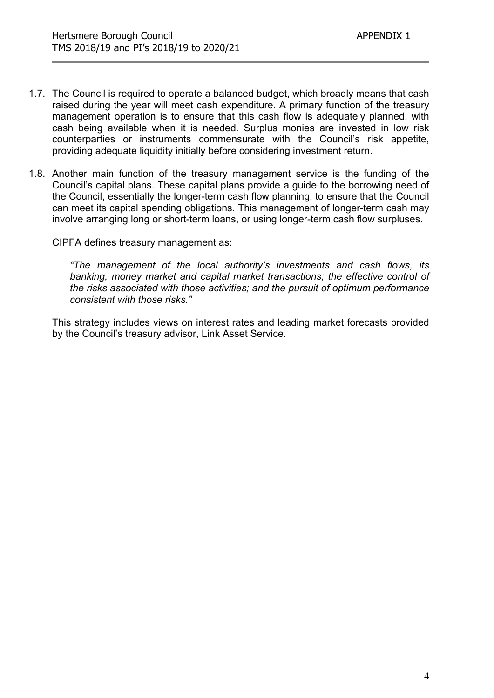- 1.7. The Council is required to operate a balanced budget, which broadly means that cash raised during the year will meet cash expenditure. A primary function of the treasury management operation is to ensure that this cash flow is adequately planned, with cash being available when it is needed. Surplus monies are invested in low risk counterparties or instruments commensurate with the Council's risk appetite, providing adequate liquidity initially before considering investment return.
- 1.8. Another main function of the treasury management service is the funding of the Council's capital plans. These capital plans provide a guide to the borrowing need of the Council, essentially the longer-term cash flow planning, to ensure that the Council can meet its capital spending obligations. This management of longer-term cash may involve arranging long or short-term loans, or using longer-term cash flow surpluses.

CIPFA defines treasury management as:

*"The management of the local authority's investments and cash flows, its banking, money market and capital market transactions; the effective control of the risks associated with those activities; and the pursuit of optimum performance consistent with those risks."*

This strategy includes views on interest rates and leading market forecasts provided by the Council's treasury advisor, Link Asset Service.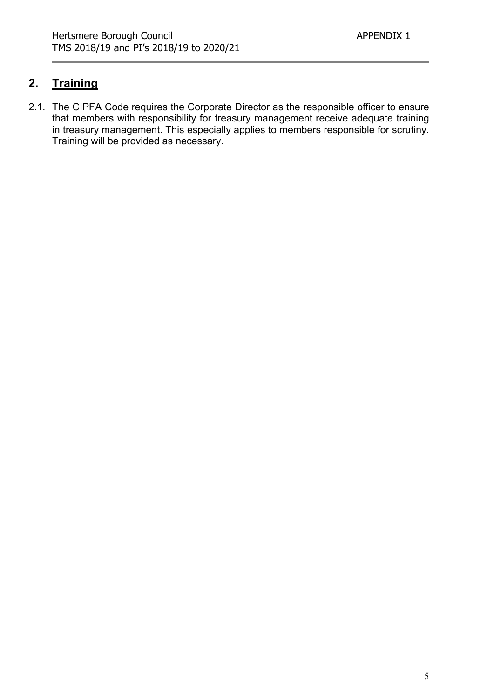# **2. Training**

2.1. The CIPFA Code requires the Corporate Director as the responsible officer to ensure that members with responsibility for treasury management receive adequate training in treasury management. This especially applies to members responsible for scrutiny. Training will be provided as necessary.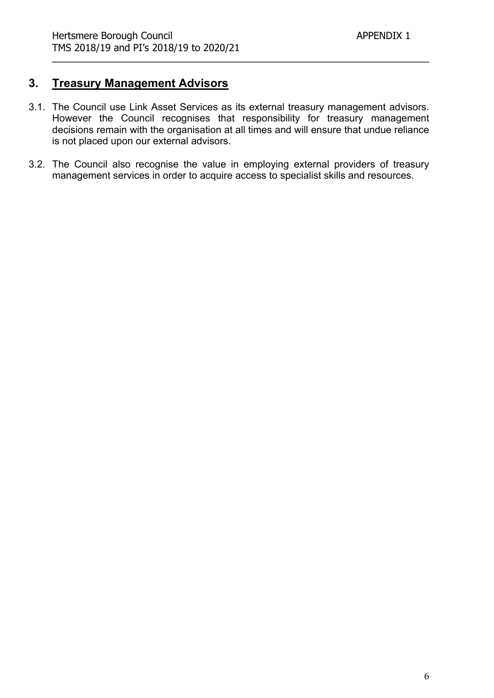# **3. Treasury Management Advisors**

- 3.1. The Council use Link Asset Services as its external treasury management advisors. However the Council recognises that responsibility for treasury management decisions remain with the organisation at all times and will ensure that undue reliance is not placed upon our external advisors.
- 3.2. The Council also recognise the value in employing external providers of treasury management services in order to acquire access to specialist skills and resources.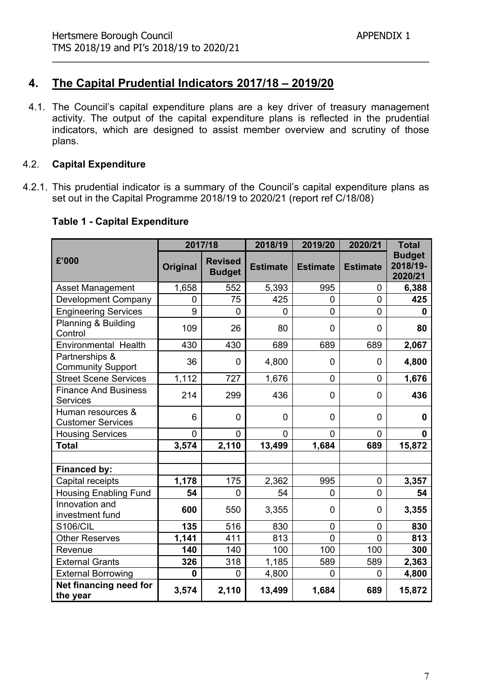# **4. The Capital Prudential Indicators 2017/18 – 2019/20**

4.1. The Council's capital expenditure plans are a key driver of treasury management activity. The output of the capital expenditure plans is reflected in the prudential indicators, which are designed to assist member overview and scrutiny of those plans.

#### 4.2. **Capital Expenditure**

4.2.1. This prudential indicator is a summary of the Council's capital expenditure plans as set out in the Capital Programme 2018/19 to 2020/21 (report ref C/18/08)

|                                                |                | 2017/18                         | 2018/19         | 2019/20         | 2020/21         | <b>Total</b>                         |
|------------------------------------------------|----------------|---------------------------------|-----------------|-----------------|-----------------|--------------------------------------|
| £'000                                          | Original       | <b>Revised</b><br><b>Budget</b> | <b>Estimate</b> | <b>Estimate</b> | <b>Estimate</b> | <b>Budget</b><br>2018/19-<br>2020/21 |
| <b>Asset Management</b>                        | 1,658          | 552                             | 5,393           | 995             | $\overline{0}$  | 6,388                                |
| <b>Development Company</b>                     | 0              | 75                              | 425             | $\Omega$        | $\overline{0}$  | 425                                  |
| <b>Engineering Services</b>                    | 9              | $\overline{0}$                  | 0               | $\overline{0}$  | $\overline{0}$  | 0                                    |
| Planning & Building<br>Control                 | 109            | 26                              | 80              | $\mathbf{0}$    | 0               | 80                                   |
| Environmental Health                           | 430            | 430                             | 689             | 689             | 689             | 2,067                                |
| Partnerships &<br><b>Community Support</b>     | 36             | $\mathbf 0$                     | 4,800           | 0               | 0               | 4,800                                |
| <b>Street Scene Services</b>                   | 1,112          | 727                             | 1,676           | 0               | $\mathbf 0$     | 1,676                                |
| <b>Finance And Business</b><br><b>Services</b> | 214            | 299                             | 436             | $\Omega$        | 0               | 436                                  |
| Human resources &<br><b>Customer Services</b>  | 6              | $\mathbf 0$                     | 0               | 0               | $\mathbf 0$     | $\mathbf 0$                          |
| <b>Housing Services</b>                        | $\overline{0}$ | $\mathbf 0$                     | $\overline{0}$  | $\overline{0}$  | $\overline{0}$  | $\mathbf{0}$                         |
| <b>Total</b>                                   | 3,574          | 2,110                           | 13,499          | 1,684           | 689             | 15,872                               |
|                                                |                |                                 |                 |                 |                 |                                      |
| <b>Financed by:</b>                            |                |                                 |                 |                 |                 |                                      |
| Capital receipts                               | 1,178          | 175                             | 2,362           | 995             | $\mathbf 0$     | 3,357                                |
| <b>Housing Enabling Fund</b>                   | 54             | $\overline{0}$                  | 54              | $\overline{0}$  | $\overline{0}$  | 54                                   |
| Innovation and<br>investment fund              | 600            | 550                             | 3,355           | 0               | $\overline{0}$  | 3,355                                |
| <b>S106/CIL</b>                                | 135            | 516                             | 830             | $\overline{0}$  | $\overline{0}$  | 830                                  |
| <b>Other Reserves</b>                          | 1,141          | 411                             | 813             | $\overline{0}$  | 0               | 813                                  |
| Revenue                                        | 140            | 140                             | 100             | 100             | 100             | 300                                  |
| <b>External Grants</b>                         | 326            | 318                             | 1,185           | 589             | 589             | 2,363                                |
| <b>External Borrowing</b>                      | 0              | $\mathbf 0$                     | 4,800           | $\mathbf 0$     | $\mathbf 0$     | 4,800                                |
| Net financing need for<br>the year             | 3,574          | 2,110                           | 13,499          | 1,684           | 689             | 15,872                               |

## **Table 1 - Capital Expenditure**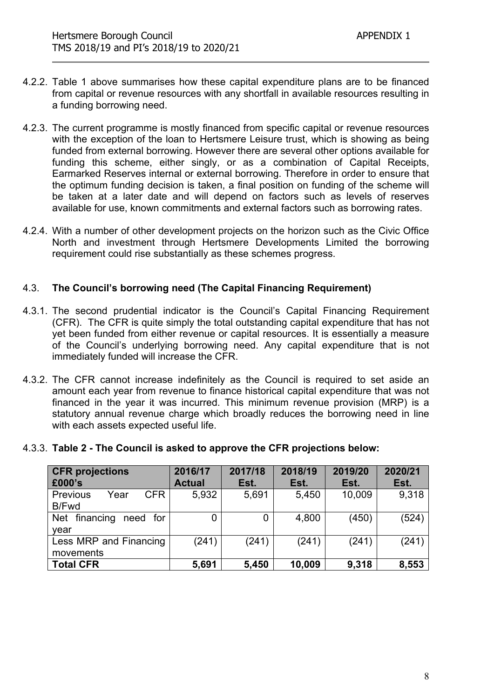- 4.2.2. Table 1 above summarises how these capital expenditure plans are to be financed from capital or revenue resources with any shortfall in available resources resulting in a funding borrowing need.
- 4.2.3. The current programme is mostly financed from specific capital or revenue resources with the exception of the loan to Hertsmere Leisure trust, which is showing as being funded from external borrowing. However there are several other options available for funding this scheme, either singly, or as a combination of Capital Receipts, Earmarked Reserves internal or external borrowing. Therefore in order to ensure that the optimum funding decision is taken, a final position on funding of the scheme will be taken at a later date and will depend on factors such as levels of reserves available for use, known commitments and external factors such as borrowing rates.
- 4.2.4. With a number of other development projects on the horizon such as the Civic Office North and investment through Hertsmere Developments Limited the borrowing requirement could rise substantially as these schemes progress.

#### 4.3. **The Council's borrowing need (The Capital Financing Requirement)**

- 4.3.1. The second prudential indicator is the Council's Capital Financing Requirement (CFR). The CFR is quite simply the total outstanding capital expenditure that has not yet been funded from either revenue or capital resources. It is essentially a measure of the Council's underlying borrowing need. Any capital expenditure that is not immediately funded will increase the CFR.
- 4.3.2. The CFR cannot increase indefinitely as the Council is required to set aside an amount each year from revenue to finance historical capital expenditure that was not financed in the year it was incurred. This minimum revenue provision (MRP) is a statutory annual revenue charge which broadly reduces the borrowing need in line with each assets expected useful life.

|  |  |  | 4.3.3. Table 2 - The Council is asked to approve the CFR projections below: |
|--|--|--|-----------------------------------------------------------------------------|
|--|--|--|-----------------------------------------------------------------------------|

| <b>CFR</b> projections          | 2016/17       | 2017/18        | 2018/19 | 2019/20 | 2020/21 |
|---------------------------------|---------------|----------------|---------|---------|---------|
| £000's                          | <b>Actual</b> | Est.           | Est.    | Est.    | Est.    |
| <b>CFR</b><br>Year<br>Previous  | 5,932         | 5,691          | 5,450   | 10,009  | 9,318   |
| B/Fwd                           |               |                |         |         |         |
| financing<br>Net<br>for<br>need | 0             | $\overline{0}$ | 4,800   | (450)   | (524)   |
| year                            |               |                |         |         |         |
| Less MRP and Financing          | (241)         | (241)          | (241)   | (241)   | (241)   |
| movements                       |               |                |         |         |         |
| <b>Total CFR</b>                | 5,691         | 5,450          | 10,009  | 9,318   | 8,553   |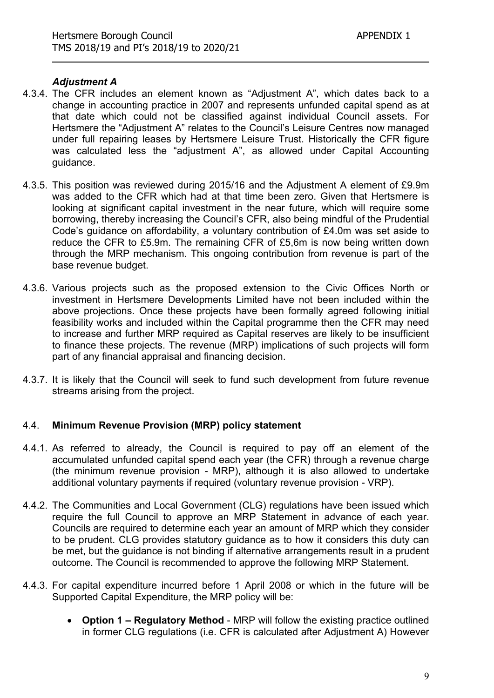#### *Adjustment A*

- 4.3.4. The CFR includes an element known as "Adjustment A", which dates back to a change in accounting practice in 2007 and represents unfunded capital spend as at that date which could not be classified against individual Council assets. For Hertsmere the "Adjustment A" relates to the Council's Leisure Centres now managed under full repairing leases by Hertsmere Leisure Trust. Historically the CFR figure was calculated less the "adjustment A", as allowed under Capital Accounting guidance.
- 4.3.5. This position was reviewed during 2015/16 and the Adjustment A element of £9.9m was added to the CFR which had at that time been zero. Given that Hertsmere is looking at significant capital investment in the near future, which will require some borrowing, thereby increasing the Council's CFR, also being mindful of the Prudential Code's guidance on affordability, a voluntary contribution of £4.0m was set aside to reduce the CFR to £5.9m. The remaining CFR of £5,6m is now being written down through the MRP mechanism. This ongoing contribution from revenue is part of the base revenue budget.
- 4.3.6. Various projects such as the proposed extension to the Civic Offices North or investment in Hertsmere Developments Limited have not been included within the above projections. Once these projects have been formally agreed following initial feasibility works and included within the Capital programme then the CFR may need to increase and further MRP required as Capital reserves are likely to be insufficient to finance these projects. The revenue (MRP) implications of such projects will form part of any financial appraisal and financing decision.
- 4.3.7. It is likely that the Council will seek to fund such development from future revenue streams arising from the project.

#### 4.4. **Minimum Revenue Provision (MRP) policy statement**

- 4.4.1. As referred to already, the Council is required to pay off an element of the accumulated unfunded capital spend each year (the CFR) through a revenue charge (the minimum revenue provision - MRP), although it is also allowed to undertake additional voluntary payments if required (voluntary revenue provision - VRP).
- 4.4.2. The Communities and Local Government (CLG) regulations have been issued which require the full Council to approve an MRP Statement in advance of each year. Councils are required to determine each year an amount of MRP which they consider to be prudent. CLG provides statutory guidance as to how it considers this duty can be met, but the guidance is not binding if alternative arrangements result in a prudent outcome. The Council is recommended to approve the following MRP Statement.
- 4.4.3. For capital expenditure incurred before 1 April 2008 or which in the future will be Supported Capital Expenditure, the MRP policy will be:
	- **Option 1 – Regulatory Method** MRP will follow the existing practice outlined in former CLG regulations (i.e. CFR is calculated after Adjustment A) However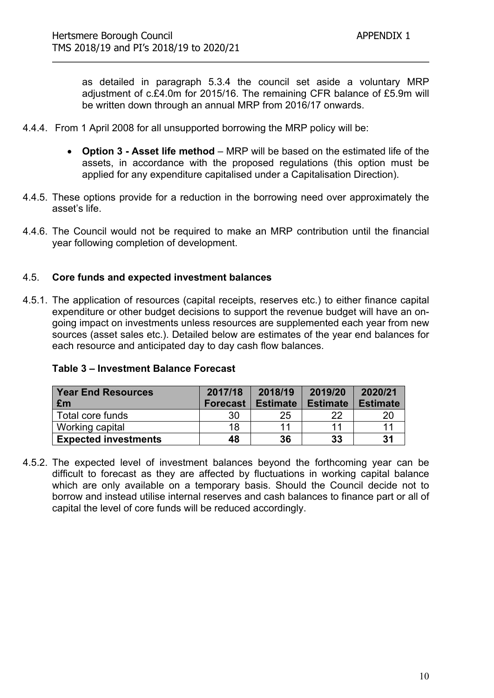as detailed in paragraph 5.3.4 the council set aside a voluntary MRP adjustment of c.£4.0m for 2015/16. The remaining CFR balance of £5.9m will be written down through an annual MRP from 2016/17 onwards.

- 4.4.4. From 1 April 2008 for all unsupported borrowing the MRP policy will be:
	- **Option 3 - Asset life method** MRP will be based on the estimated life of the assets, in accordance with the proposed regulations (this option must be applied for any expenditure capitalised under a Capitalisation Direction).
- 4.4.5. These options provide for a reduction in the borrowing need over approximately the asset's life.
- 4.4.6. The Council would not be required to make an MRP contribution until the financial year following completion of development.

#### 4.5. **Core funds and expected investment balances**

4.5.1. The application of resources (capital receipts, reserves etc.) to either finance capital expenditure or other budget decisions to support the revenue budget will have an ongoing impact on investments unless resources are supplemented each year from new sources (asset sales etc.). Detailed below are estimates of the year end balances for each resource and anticipated day to day cash flow balances.

| <b>Year End Resources</b>   | 2017/18         | 2018/19         | 2019/20         | 2020/21         |
|-----------------------------|-----------------|-----------------|-----------------|-----------------|
| £m                          | <b>Forecast</b> | <b>Estimate</b> | <b>Estimate</b> | <b>Estimate</b> |
| Total core funds            | 30              | 25              | 22              |                 |
| Working capital             | 18              | 11              | 11              |                 |
| <b>Expected investments</b> | 48              | 36              | 33              | 31              |

#### **Table 3 – Investment Balance Forecast**

4.5.2. The expected level of investment balances beyond the forthcoming year can be difficult to forecast as they are affected by fluctuations in working capital balance which are only available on a temporary basis. Should the Council decide not to borrow and instead utilise internal reserves and cash balances to finance part or all of capital the level of core funds will be reduced accordingly.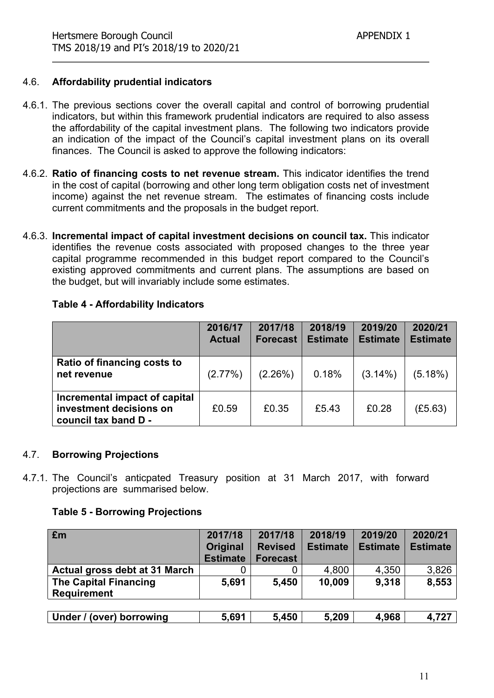#### 4.6. **Affordability prudential indicators**

- 4.6.1. The previous sections cover the overall capital and control of borrowing prudential indicators, but within this framework prudential indicators are required to also assess the affordability of the capital investment plans. The following two indicators provide an indication of the impact of the Council's capital investment plans on its overall finances. The Council is asked to approve the following indicators:
- 4.6.2. **Ratio of financing costs to net revenue stream.** This indicator identifies the trend in the cost of capital (borrowing and other long term obligation costs net of investment income) against the net revenue stream. The estimates of financing costs include current commitments and the proposals in the budget report.
- 4.6.3. **Incremental impact of capital investment decisions on council tax.** This indicator identifies the revenue costs associated with proposed changes to the three year capital programme recommended in this budget report compared to the Council's existing approved commitments and current plans. The assumptions are based on the budget, but will invariably include some estimates.

|                                                                                  | 2016/17<br><b>Actual</b> | 2017/18<br><b>Forecast</b> | 2018/19<br><b>Estimate</b> | 2019/20<br><b>Estimate</b> | 2020/21<br><b>Estimate</b> |
|----------------------------------------------------------------------------------|--------------------------|----------------------------|----------------------------|----------------------------|----------------------------|
| Ratio of financing costs to<br>net revenue                                       | $(2.77\%)$               | (2.26%)                    | 0.18%                      | $(3.14\%)$                 | (5.18%)                    |
| Incremental impact of capital<br>investment decisions on<br>council tax band D - | £0.59                    | £0.35                      | £5.43                      | £0.28                      | (E5.63)                    |

#### **Table 4 - Affordability Indicators**

#### 4.7. **Borrowing Projections**

4.7.1. The Council's anticpated Treasury position at 31 March 2017, with forward projections are summarised below.

#### **Table 5 - Borrowing Projections**

| Em                                                 | 2017/18<br><b>Original</b><br><b>Estimate</b> | 2017/18<br><b>Revised</b><br><b>Forecast</b> | 2018/19<br><b>Estimate</b> | 2019/20<br><b>Estimate</b> | 2020/21<br><b>Estimate</b> |
|----------------------------------------------------|-----------------------------------------------|----------------------------------------------|----------------------------|----------------------------|----------------------------|
| Actual gross debt at 31 March                      |                                               |                                              | 4,800                      | 4,350                      | 3,826                      |
| <b>The Capital Financing</b><br><b>Requirement</b> | 5,691                                         | 5,450                                        | 10,009                     | 9,318                      | 8,553                      |
| Under / (over) borrowing                           | 5,691                                         | 5,450                                        | 5,209                      | 4,968                      | 4,727                      |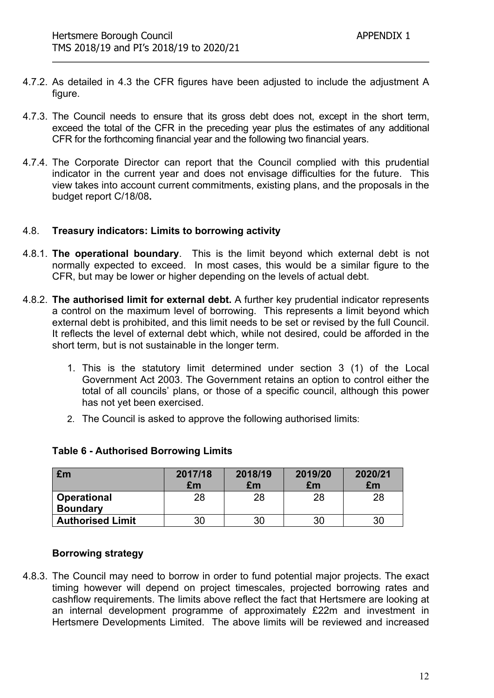- 4.7.2. As detailed in 4.3 the CFR figures have been adjusted to include the adjustment A figure.
- 4.7.3. The Council needs to ensure that its gross debt does not, except in the short term, exceed the total of the CFR in the preceding year plus the estimates of any additional CFR for the forthcoming financial year and the following two financial years.
- 4.7.4. The Corporate Director can report that the Council complied with this prudential indicator in the current year and does not envisage difficulties for the future. This view takes into account current commitments, existing plans, and the proposals in the budget report C/18/08**.**

#### 4.8. **Treasury indicators: Limits to borrowing activity**

- 4.8.1. **The operational boundary**. This is the limit beyond which external debt is not normally expected to exceed. In most cases, this would be a similar figure to the CFR, but may be lower or higher depending on the levels of actual debt.
- 4.8.2. **The authorised limit for external debt.** A further key prudential indicator represents a control on the maximum level of borrowing. This represents a limit beyond which external debt is prohibited, and this limit needs to be set or revised by the full Council. It reflects the level of external debt which, while not desired, could be afforded in the short term, but is not sustainable in the longer term.
	- 1. This is the statutory limit determined under section 3 (1) of the Local Government Act 2003. The Government retains an option to control either the total of all councils' plans, or those of a specific council, although this power has not yet been exercised.
	- 2. The Council is asked to approve the following authorised limits:

| £m                      | 2017/18<br>£m | 2018/19<br>£m | 2019/20<br>£m | 2020/21<br>£m |
|-------------------------|---------------|---------------|---------------|---------------|
| <b>Operational</b>      | 28            | 28            | 28            | 28            |
| <b>Boundary</b>         |               |               |               |               |
| <b>Authorised Limit</b> | 30            | 30            | 30            |               |

#### **Table 6 - Authorised Borrowing Limits**

#### **Borrowing strategy**

4.8.3. The Council may need to borrow in order to fund potential major projects. The exact timing however will depend on project timescales, projected borrowing rates and cashflow requirements. The limits above reflect the fact that Hertsmere are looking at an internal development programme of approximately £22m and investment in Hertsmere Developments Limited. The above limits will be reviewed and increased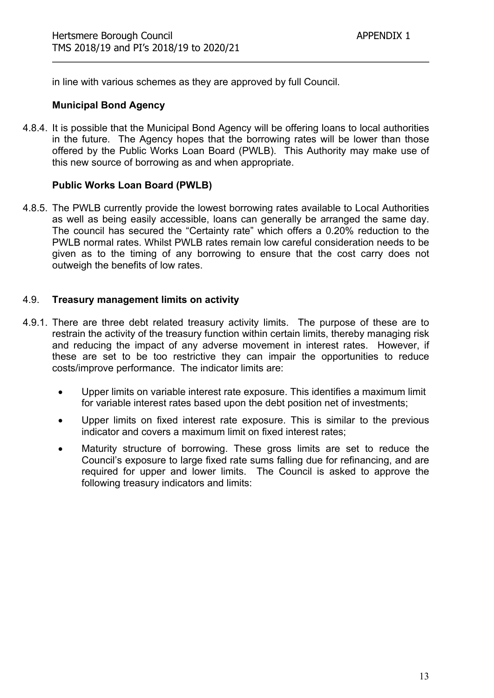in line with various schemes as they are approved by full Council.

#### **Municipal Bond Agency**

4.8.4. It is possible that the Municipal Bond Agency will be offering loans to local authorities in the future. The Agency hopes that the borrowing rates will be lower than those offered by the Public Works Loan Board (PWLB). This Authority may make use of this new source of borrowing as and when appropriate.

#### **Public Works Loan Board (PWLB)**

4.8.5. The PWLB currently provide the lowest borrowing rates available to Local Authorities as well as being easily accessible, loans can generally be arranged the same day. The council has secured the "Certainty rate" which offers a 0.20% reduction to the PWLB normal rates. Whilst PWLB rates remain low careful consideration needs to be given as to the timing of any borrowing to ensure that the cost carry does not outweigh the benefits of low rates.

#### 4.9. **Treasury management limits on activity**

- 4.9.1. There are three debt related treasury activity limits. The purpose of these are to restrain the activity of the treasury function within certain limits, thereby managing risk and reducing the impact of any adverse movement in interest rates. However, if these are set to be too restrictive they can impair the opportunities to reduce costs/improve performance. The indicator limits are:
	- Upper limits on variable interest rate exposure. This identifies a maximum limit for variable interest rates based upon the debt position net of investments;
	- Upper limits on fixed interest rate exposure. This is similar to the previous indicator and covers a maximum limit on fixed interest rates;
	- Maturity structure of borrowing. These gross limits are set to reduce the Council's exposure to large fixed rate sums falling due for refinancing, and are required for upper and lower limits. The Council is asked to approve the following treasury indicators and limits: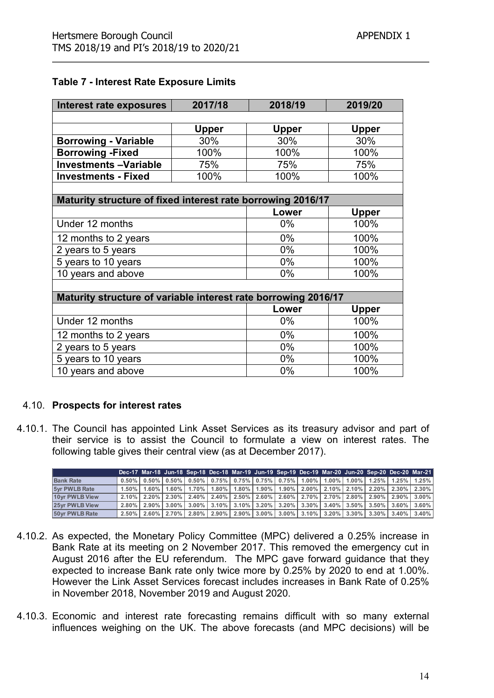#### **Table 7 - Interest Rate Exposure Limits**

| Interest rate exposures                                        | 2017/18      | 2018/19      | 2019/20      |
|----------------------------------------------------------------|--------------|--------------|--------------|
|                                                                |              |              |              |
|                                                                | <b>Upper</b> | <b>Upper</b> | <b>Upper</b> |
| <b>Borrowing - Variable</b>                                    | 30%          | 30%          | 30%          |
| <b>Borrowing - Fixed</b>                                       | 100%         | 100%         | 100%         |
| <b>Investments-Variable</b>                                    | 75%          | 75%          | 75%          |
| <b>Investments - Fixed</b>                                     | 100%         | 100%         | 100%         |
|                                                                |              |              |              |
| Maturity structure of fixed interest rate borrowing 2016/17    |              |              |              |
|                                                                |              | Lower        | <b>Upper</b> |
| Under 12 months                                                |              | $0\%$        | 100%         |
| 12 months to 2 years                                           |              | 0%           | 100%         |
| 2 years to 5 years                                             |              | $0\%$        | 100%         |
| 5 years to 10 years                                            |              | $0\%$        | 100%         |
| 10 years and above                                             |              | 0%           | 100%         |
|                                                                |              |              |              |
| Maturity structure of variable interest rate borrowing 2016/17 |              |              |              |
|                                                                |              | Lower        | <b>Upper</b> |
| Under 12 months                                                |              | $0\%$        | 100%         |
| 12 months to 2 years                                           |              | 0%           | 100%         |
| 2 years to 5 years                                             |              | $0\%$        | 100%         |
| 5 years to 10 years                                            |              | $0\%$        | 100%         |
| 10 years and above                                             |              | 0%           | 100%         |

#### 4.10. **Prospects for interest rates**

4.10.1. The Council has appointed Link Asset Services as its treasury advisor and part of their service is to assist the Council to formulate a view on interest rates. The following table gives their central view (as at December 2017).

|                      |  |  |  |  |  |  | Dec-17 Mar-18 Jun-18 Sep-18 Dec-18 Mar-19 Jun-19 Sep-19 Dec-19 Mar-20 Jun-20 Sep-20 Dec-20 Mar-21                                                       |
|----------------------|--|--|--|--|--|--|---------------------------------------------------------------------------------------------------------------------------------------------------------|
| <b>Bank Rate</b>     |  |  |  |  |  |  | $0.50\%$   $0.50\%$   $0.50\%$   $0.75\%$   $0.75\%$   $0.75\%$   $0.75\%$   $1.00\%$   $1.00\%$   $1.25\%$   $1.25\%$   $1.25\%$   $1.25\%$   $1.25\%$ |
| <b>5yr PWLB Rate</b> |  |  |  |  |  |  | $1.50\%$   $1.60\%$   $1.60\%$   $1.70\%$   $1.80\%$   $1.80\%$   $1.90\%$   $2.00\%$   $2.10\%$   $2.10\%$   $2.20\%$   $2.30\%$   $2.30\%$   $2.30\%$ |
| 10yr PWLB View       |  |  |  |  |  |  | $2.10\%$ 2.20% 2.30% 2.40% 2.40% 2.50% 2.60% 2.60% 2.70% 2.70% 2.80% 2.80% 2.90% 2.90% 3.00%                                                            |
| 25yr PWLB View       |  |  |  |  |  |  | $2.80\%$   2.90%   3.00%   3.00%   3.10%   3.10%   3.20%   3.20%   3.30%   3.40%   3.50%   3.50%   3.60%   3.60%                                        |
| 50yr PWLB Rate       |  |  |  |  |  |  | $2.50\%$   $2.60\%$   $2.70\%$   $2.80\%$   $2.90\%$   $2.90\%$   $3.00\%$   $3.00\%$   $3.10\%$   $3.20\%$   $3.30\%$   $3.30\%$   $3.40\%$   $3.40\%$ |

- 4.10.2. As expected, the Monetary Policy Committee (MPC) delivered a 0.25% increase in Bank Rate at its meeting on 2 November 2017. This removed the emergency cut in August 2016 after the EU referendum. The MPC gave forward guidance that they expected to increase Bank rate only twice more by 0.25% by 2020 to end at 1.00%. However the Link Asset Services forecast includes increases in Bank Rate of 0.25% in November 2018, November 2019 and August 2020.
- 4.10.3. Economic and interest rate forecasting remains difficult with so many external influences weighing on the UK. The above forecasts (and MPC decisions) will be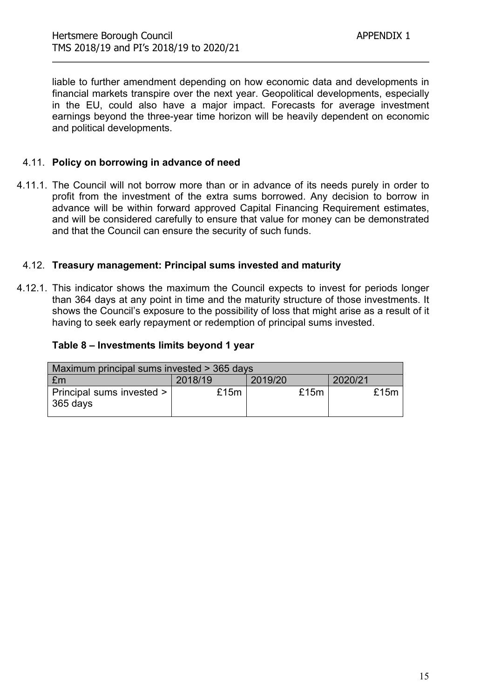liable to further amendment depending on how economic data and developments in financial markets transpire over the next year. Geopolitical developments, especially in the EU, could also have a major impact. Forecasts for average investment earnings beyond the three-year time horizon will be heavily dependent on economic and political developments.

### 4.11. **Policy on borrowing in advance of need**

4.11.1. The Council will not borrow more than or in advance of its needs purely in order to profit from the investment of the extra sums borrowed. Any decision to borrow in advance will be within forward approved Capital Financing Requirement estimates, and will be considered carefully to ensure that value for money can be demonstrated and that the Council can ensure the security of such funds.

#### 4.12. **Treasury management: Principal sums invested and maturity**

4.12.1. This indicator shows the maximum the Council expects to invest for periods longer than 364 days at any point in time and the maturity structure of those investments. It shows the Council's exposure to the possibility of loss that might arise as a result of it having to seek early repayment or redemption of principal sums invested.

#### **Table 8 – Investments limits beyond 1 year**

| Maximum principal sums invested > 365 days |         |         |         |  |  |
|--------------------------------------------|---------|---------|---------|--|--|
| £m                                         | 2018/19 | 2019/20 | 2020/21 |  |  |
| Principal sums invested ><br>365 days      | £15m    | £15m    | £15m    |  |  |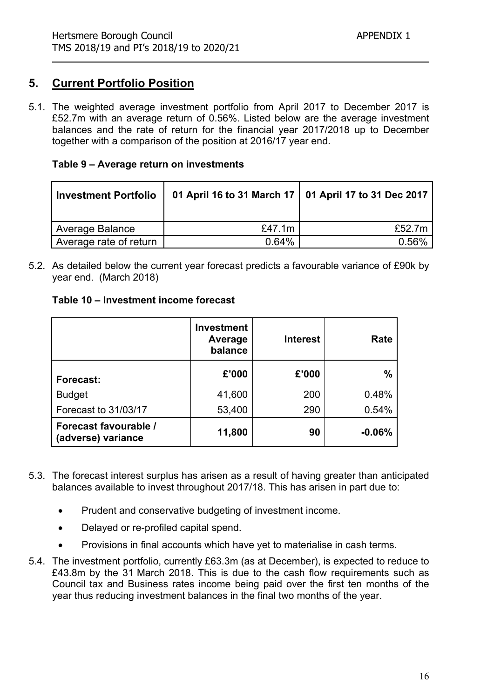# **5. Current Portfolio Position**

5.1. The weighted average investment portfolio from April 2017 to December 2017 is £52.7m with an average return of 0.56%. Listed below are the average investment balances and the rate of return for the financial year 2017/2018 up to December together with a comparison of the position at 2016/17 year end.

#### **Table 9 – Average return on investments**

| Investment Portfolio   | 01 April 16 to 31 March 17   01 April 17 to 31 Dec 2017 |        |
|------------------------|---------------------------------------------------------|--------|
| Average Balance        | £47.1 $m$                                               | £52.7m |
| Average rate of return | 0.64%                                                   | 0.56%  |

5.2. As detailed below the current year forecast predicts a favourable variance of £90k by year end. (March 2018)

|  |  | Table 10 – Investment income forecast |
|--|--|---------------------------------------|
|--|--|---------------------------------------|

|                                             | <b>Investment</b><br>Average<br>balance | <b>Interest</b> | Rate          |
|---------------------------------------------|-----------------------------------------|-----------------|---------------|
| Forecast:                                   | £'000                                   | £'000           | $\frac{0}{0}$ |
| <b>Budget</b>                               | 41,600                                  | 200             | 0.48%         |
| Forecast to 31/03/17                        | 53,400                                  | 290             | 0.54%         |
| Forecast favourable /<br>(adverse) variance | 11,800                                  | 90              | $-0.06%$      |

- 5.3. The forecast interest surplus has arisen as a result of having greater than anticipated balances available to invest throughout 2017/18. This has arisen in part due to:
	- Prudent and conservative budgeting of investment income.
	- Delayed or re-profiled capital spend.
	- Provisions in final accounts which have yet to materialise in cash terms.
- 5.4. The investment portfolio, currently £63.3m (as at December), is expected to reduce to £43.8m by the 31 March 2018. This is due to the cash flow requirements such as Council tax and Business rates income being paid over the first ten months of the year thus reducing investment balances in the final two months of the year.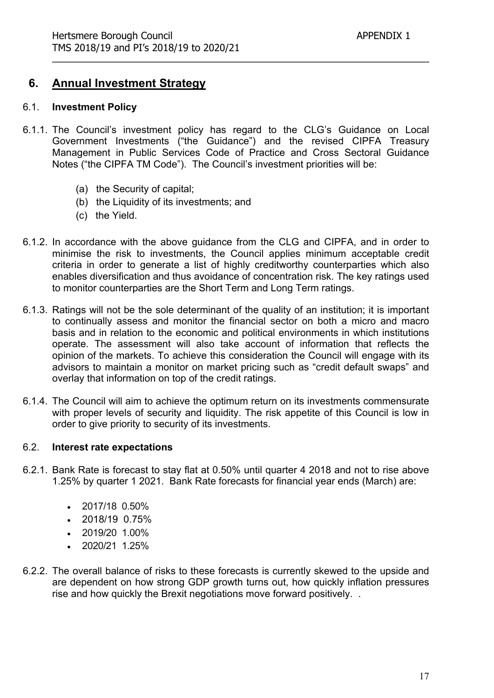# **6. Annual Investment Strategy**

#### 6.1. **Investment Policy**

- 6.1.1. The Council's investment policy has regard to the CLG's Guidance on Local Government Investments ("the Guidance") and the revised CIPFA Treasury Management in Public Services Code of Practice and Cross Sectoral Guidance Notes ("the CIPFA TM Code"). The Council's investment priorities will be:
	- (a) the Security of capital;
	- (b) the Liquidity of its investments; and
	- (c) the Yield.
- 6.1.2. In accordance with the above guidance from the CLG and CIPFA, and in order to minimise the risk to investments, the Council applies minimum acceptable credit criteria in order to generate a list of highly creditworthy counterparties which also enables diversification and thus avoidance of concentration risk. The key ratings used to monitor counterparties are the Short Term and Long Term ratings.
- 6.1.3. Ratings will not be the sole determinant of the quality of an institution; it is important to continually assess and monitor the financial sector on both a micro and macro basis and in relation to the economic and political environments in which institutions operate. The assessment will also take account of information that reflects the opinion of the markets. To achieve this consideration the Council will engage with its advisors to maintain a monitor on market pricing such as "credit default swaps" and overlay that information on top of the credit ratings.
- 6.1.4. The Council will aim to achieve the optimum return on its investments commensurate with proper levels of security and liquidity. The risk appetite of this Council is low in order to give priority to security of its investments.

#### 6.2. **Interest rate expectations**

- 6.2.1. Bank Rate is forecast to stay flat at 0.50% until quarter 4 2018 and not to rise above 1.25% by quarter 1 2021. Bank Rate forecasts for financial year ends (March) are:
	- $\cdot$  2017/18 0.50%
	- $\cdot$  2018/19 0.75%
	- $\cdot$  2019/20 1.00%
	- 2020/21 1.25%
- 6.2.2. The overall balance of risks to these forecasts is currently skewed to the upside and are dependent on how strong GDP growth turns out, how quickly inflation pressures rise and how quickly the Brexit negotiations move forward positively. .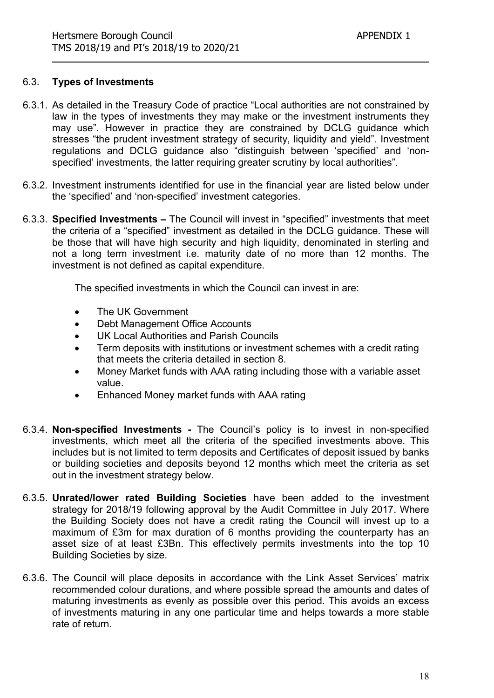#### 6.3. **Types of Investments**

- 6.3.1. As detailed in the Treasury Code of practice "Local authorities are not constrained by law in the types of investments they may make or the investment instruments they may use". However in practice they are constrained by DCLG guidance which stresses "the prudent investment strategy of security, liquidity and yield". Investment regulations and DCLG guidance also "distinguish between 'specified' and 'nonspecified' investments, the latter requiring greater scrutiny by local authorities".
- 6.3.2. Investment instruments identified for use in the financial year are listed below under the 'specified' and 'non-specified' investment categories.
- 6.3.3. **Specified Investments –** The Council will invest in "specified" investments that meet the criteria of a "specified" investment as detailed in the DCLG guidance. These will be those that will have high security and high liquidity, denominated in sterling and not a long term investment i.e. maturity date of no more than 12 months. The investment is not defined as capital expenditure.

The specified investments in which the Council can invest in are:

- The UK Government
- Debt Management Office Accounts
- UK Local Authorities and Parish Councils
- Term deposits with institutions or investment schemes with a credit rating that meets the criteria detailed in section 8.
- Money Market funds with AAA rating including those with a variable asset value.
- Enhanced Money market funds with AAA rating
- 6.3.4. **Non-specified Investments -** The Council's policy is to invest in non-specified investments, which meet all the criteria of the specified investments above. This includes but is not limited to term deposits and Certificates of deposit issued by banks or building societies and deposits beyond 12 months which meet the criteria as set out in the investment strategy below.
- 6.3.5. **Unrated/lower rated Building Societies** have been added to the investment strategy for 2018/19 following approval by the Audit Committee in July 2017. Where the Building Society does not have a credit rating the Council will invest up to a maximum of £3m for max duration of 6 months providing the counterparty has an asset size of at least £3Bn. This effectively permits investments into the top 10 Building Societies by size.
- 6.3.6. The Council will place deposits in accordance with the Link Asset Services' matrix recommended colour durations, and where possible spread the amounts and dates of maturing investments as evenly as possible over this period. This avoids an excess of investments maturing in any one particular time and helps towards a more stable rate of return.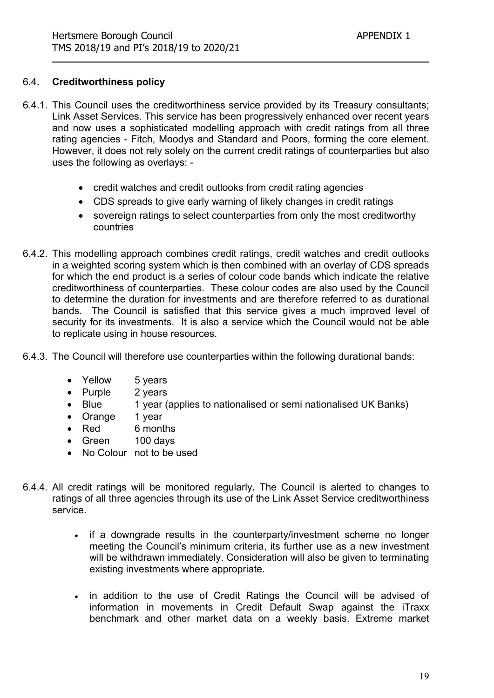#### 6.4. **Creditworthiness policy**

- 6.4.1. This Council uses the creditworthiness service provided by its Treasury consultants; Link Asset Services. This service has been progressively enhanced over recent years and now uses a sophisticated modelling approach with credit ratings from all three rating agencies - Fitch, Moodys and Standard and Poors, forming the core element. However, it does not rely solely on the current credit ratings of counterparties but also uses the following as overlays:
	- credit watches and credit outlooks from credit rating agencies
	- CDS spreads to give early warning of likely changes in credit ratings
	- sovereign ratings to select counterparties from only the most creditworthy countries
- 6.4.2. This modelling approach combines credit ratings, credit watches and credit outlooks in a weighted scoring system which is then combined with an overlay of CDS spreads for which the end product is a series of colour code bands which indicate the relative creditworthiness of counterparties. These colour codes are also used by the Council to determine the duration for investments and are therefore referred to as durational bands. The Council is satisfied that this service gives a much improved level of security for its investments. It is also a service which the Council would not be able to replicate using in house resources.
- 6.4.3. The Council will therefore use counterparties within the following durational bands:
	- Yellow 5 years
	- Purple 2 years
	- Blue 1 year (applies to nationalised or semi nationalised UK Banks)
	- Orange 1 year
	- Red 6 months
	- Green 100 days
	- No Colour not to be used
- 6.4.4. All credit ratings will be monitored regularly**.** The Council is alerted to changes to ratings of all three agencies through its use of the Link Asset Service creditworthiness service.
	- if a downgrade results in the counterparty/investment scheme no longer meeting the Council's minimum criteria, its further use as a new investment will be withdrawn immediately. Consideration will also be given to terminating existing investments where appropriate.
	- in addition to the use of Credit Ratings the Council will be advised of information in movements in Credit Default Swap against the iTraxx benchmark and other market data on a weekly basis. Extreme market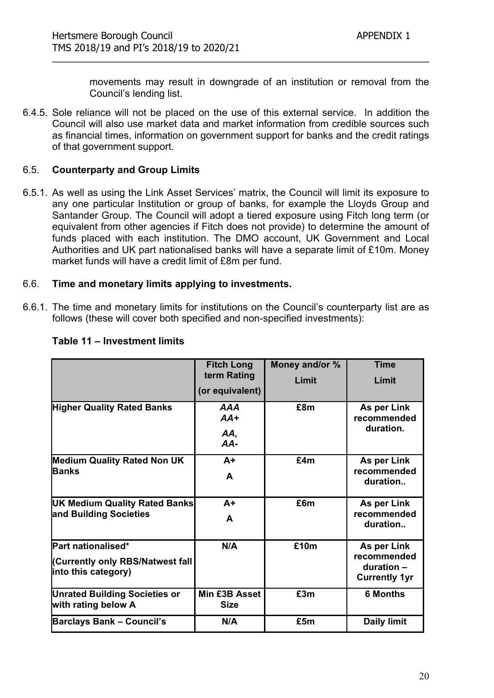movements may result in downgrade of an institution or removal from the Council's lending list.

6.4.5. Sole reliance will not be placed on the use of this external service. In addition the Council will also use market data and market information from credible sources such as financial times, information on government support for banks and the credit ratings of that government support.

## 6.5. **Counterparty and Group Limits**

6.5.1. As well as using the Link Asset Services' matrix, the Council will limit its exposure to any one particular Institution or group of banks, for example the Lloyds Group and Santander Group. The Council will adopt a tiered exposure using Fitch long term (or equivalent from other agencies if Fitch does not provide) to determine the amount of funds placed with each institution. The DMO account, UK Government and Local Authorities and UK part nationalised banks will have a separate limit of £10m. Money market funds will have a credit limit of £8m per fund.

#### 6.6. **Time and monetary limits applying to investments.**

6.6.1. The time and monetary limits for institutions on the Council's counterparty list are as follows (these will cover both specified and non-specified investments):

|                                                                               | <b>Fitch Long</b><br>term Rating | Money and/or %<br>Limit | <b>Time</b><br>Limit                                             |
|-------------------------------------------------------------------------------|----------------------------------|-------------------------|------------------------------------------------------------------|
|                                                                               | (or equivalent)                  |                         |                                                                  |
| <b>Higher Quality Rated Banks</b>                                             | AAA<br>$AA+$<br>AA,<br>AA-       | £8m                     | As per Link<br>recommended<br>duration.                          |
| <b>Medium Quality Rated Non UK</b><br><b>IBanks</b>                           | $A+$<br>A                        | £4m                     | As per Link<br>recommended<br>duration                           |
| <b>UK Medium Quality Rated Banks</b><br>and Building Societies                | $A+$<br>A                        | £6m                     | As per Link<br>recommended<br>duration                           |
| Part nationalised*<br>(Currently only RBS/Natwest fall<br>into this category) | N/A                              | £10m                    | As per Link<br>recommended<br>duration -<br><b>Currently 1yr</b> |
| <b>Unrated Building Societies or</b><br>with rating below A                   | Min £3B Asset<br><b>Size</b>     | £3m                     | <b>6 Months</b>                                                  |
| <b>Barclays Bank - Council's</b>                                              | N/A                              | £5m                     | <b>Daily limit</b>                                               |

#### **Table 11 – Investment limits**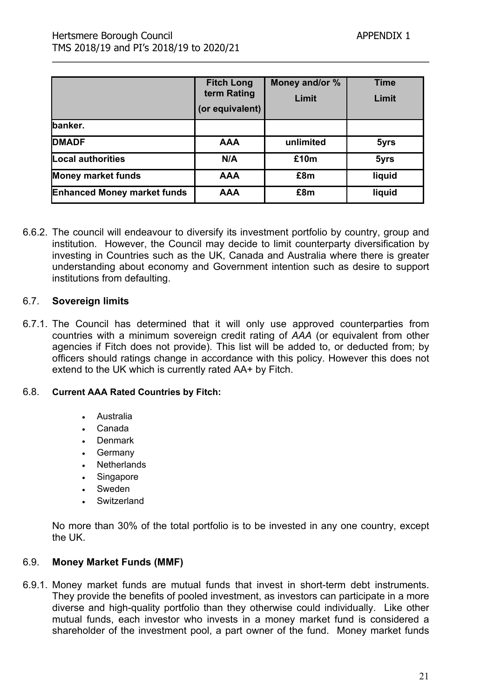|                                    | <b>Fitch Long</b><br>term Rating<br>(or equivalent) | Money and/or %<br>Limit | <b>Time</b><br>Limit |
|------------------------------------|-----------------------------------------------------|-------------------------|----------------------|
| banker.                            |                                                     |                         |                      |
| <b>DMADF</b>                       | <b>AAA</b>                                          | unlimited               | 5yrs                 |
| Local authorities                  | N/A                                                 | £10m                    | 5yrs                 |
| <b>Money market funds</b>          | <b>AAA</b>                                          | £8m                     | liquid               |
| <b>Enhanced Money market funds</b> | <b>AAA</b>                                          | £8m                     | liquid               |

6.6.2. The council will endeavour to diversify its investment portfolio by country, group and institution. However, the Council may decide to limit counterparty diversification by investing in Countries such as the UK, Canada and Australia where there is greater understanding about economy and Government intention such as desire to support institutions from defaulting.

#### 6.7. **Sovereign limits**

6.7.1. The Council has determined that it will only use approved counterparties from countries with a minimum sovereign credit rating of *AAA* (or equivalent from other agencies if Fitch does not provide). This list will be added to, or deducted from; by officers should ratings change in accordance with this policy. However this does not extend to the UK which is currently rated AA+ by Fitch.

#### 6.8. **Current AAA Rated Countries by Fitch:**

- Australia
- Canada
- Denmark
- Germany
- **Netherlands**
- **Singapore**
- Sweden
- Switzerland

No more than 30% of the total portfolio is to be invested in any one country, except the UK.

#### 6.9. **Money Market Funds (MMF)**

6.9.1. Money market funds are mutual funds that invest in short-term debt instruments. They provide the benefits of pooled investment, as investors can participate in a more diverse and high-quality portfolio than they otherwise could individually. Like other mutual funds, each investor who invests in a money market fund is considered a shareholder of the investment pool, a part owner of the fund. Money market funds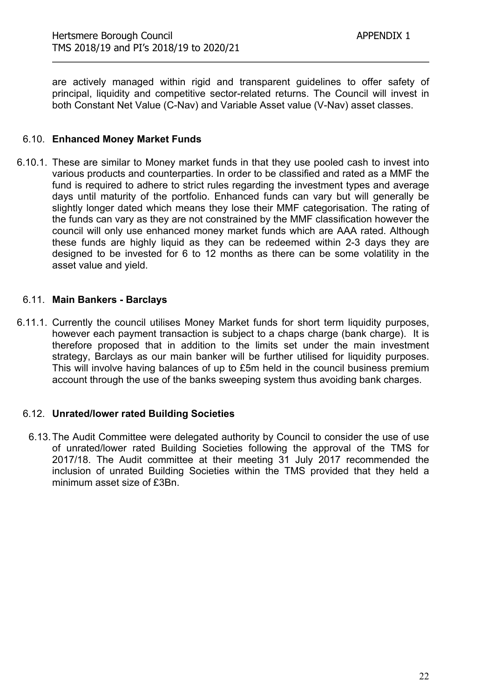are actively managed within rigid and transparent guidelines to offer safety of principal, liquidity and competitive sector-related returns. The Council will invest in both Constant Net Value (C-Nav) and Variable Asset value (V-Nav) asset classes.

#### 6.10. **Enhanced Money Market Funds**

6.10.1. These are similar to Money market funds in that they use pooled cash to invest into various products and counterparties. In order to be classified and rated as a MMF the fund is required to adhere to strict rules regarding the investment types and average days until maturity of the portfolio. Enhanced funds can vary but will generally be slightly longer dated which means they lose their MMF categorisation. The rating of the funds can vary as they are not constrained by the MMF classification however the council will only use enhanced money market funds which are AAA rated. Although these funds are highly liquid as they can be redeemed within 2-3 days they are designed to be invested for 6 to 12 months as there can be some volatility in the asset value and yield.

#### 6.11. **Main Bankers - Barclays**

6.11.1. Currently the council utilises Money Market funds for short term liquidity purposes, however each payment transaction is subject to a chaps charge (bank charge). It is therefore proposed that in addition to the limits set under the main investment strategy, Barclays as our main banker will be further utilised for liquidity purposes. This will involve having balances of up to £5m held in the council business premium account through the use of the banks sweeping system thus avoiding bank charges.

#### 6.12. **Unrated/lower rated Building Societies**

6.13.The Audit Committee were delegated authority by Council to consider the use of use of unrated/lower rated Building Societies following the approval of the TMS for 2017/18. The Audit committee at their meeting 31 July 2017 recommended the inclusion of unrated Building Societies within the TMS provided that they held a minimum asset size of £3Bn.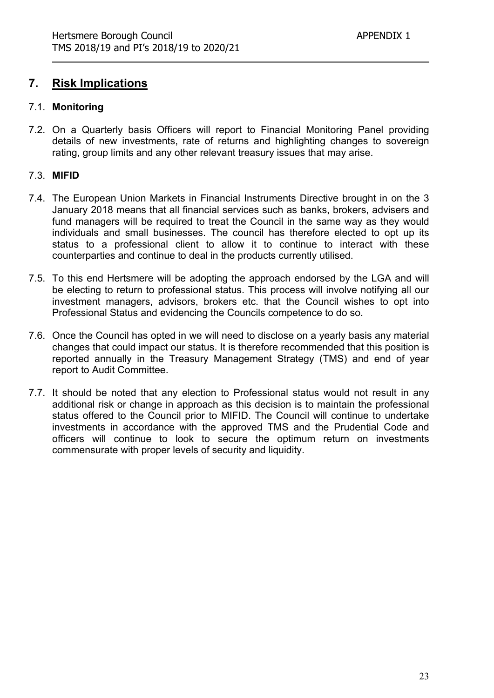# **7. Risk Implications**

#### 7.1. **Monitoring**

7.2. On a Quarterly basis Officers will report to Financial Monitoring Panel providing details of new investments, rate of returns and highlighting changes to sovereign rating, group limits and any other relevant treasury issues that may arise.

#### 7.3. **MIFID**

- 7.4. The European Union Markets in Financial Instruments Directive brought in on the 3 January 2018 means that all financial services such as banks, brokers, advisers and fund managers will be required to treat the Council in the same way as they would individuals and small businesses. The council has therefore elected to opt up its status to a professional client to allow it to continue to interact with these counterparties and continue to deal in the products currently utilised.
- 7.5. To this end Hertsmere will be adopting the approach endorsed by the LGA and will be electing to return to professional status. This process will involve notifying all our investment managers, advisors, brokers etc. that the Council wishes to opt into Professional Status and evidencing the Councils competence to do so.
- 7.6. Once the Council has opted in we will need to disclose on a yearly basis any material changes that could impact our status. It is therefore recommended that this position is reported annually in the Treasury Management Strategy (TMS) and end of year report to Audit Committee.
- 7.7. It should be noted that any election to Professional status would not result in any additional risk or change in approach as this decision is to maintain the professional status offered to the Council prior to MIFID. The Council will continue to undertake investments in accordance with the approved TMS and the Prudential Code and officers will continue to look to secure the optimum return on investments commensurate with proper levels of security and liquidity.